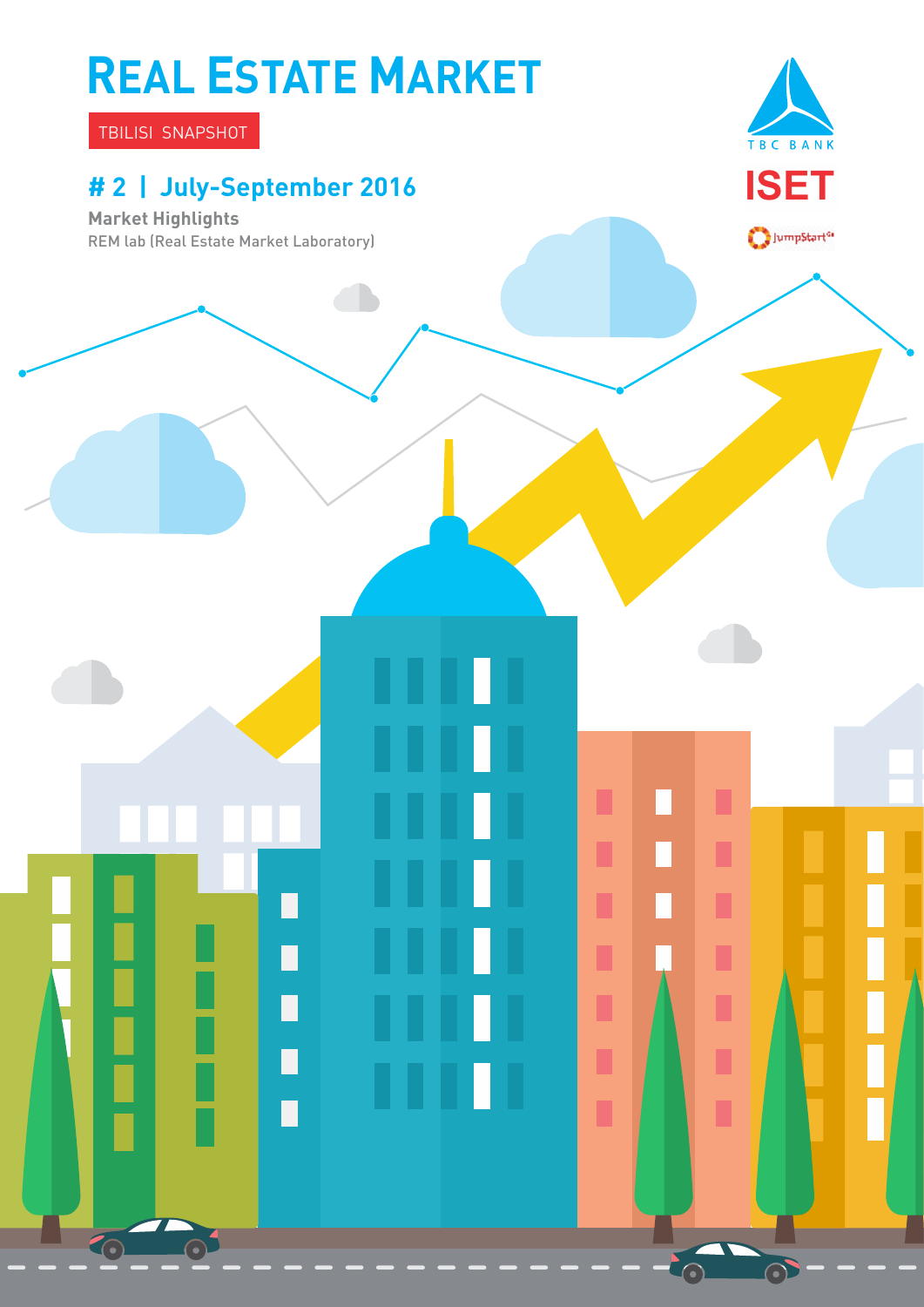# **REAL ESTATE MARKET**

TBILISI SNAPSHOT

### **# 2 | July-September 2016**

┑

П

П

П

O

**Market Highlights** REM lab (Real Estate Market Laboratory)



 $\bigcirc$ JumpStart<sup>or</sup>

П

П

П

Ī

Ľ

Ī

ı

 $\odot$ 

 $\Box$ 

 $\mathbb{Z}$ 

П

 $\Box$ 

Π

п

П

П

Ľ

ı

П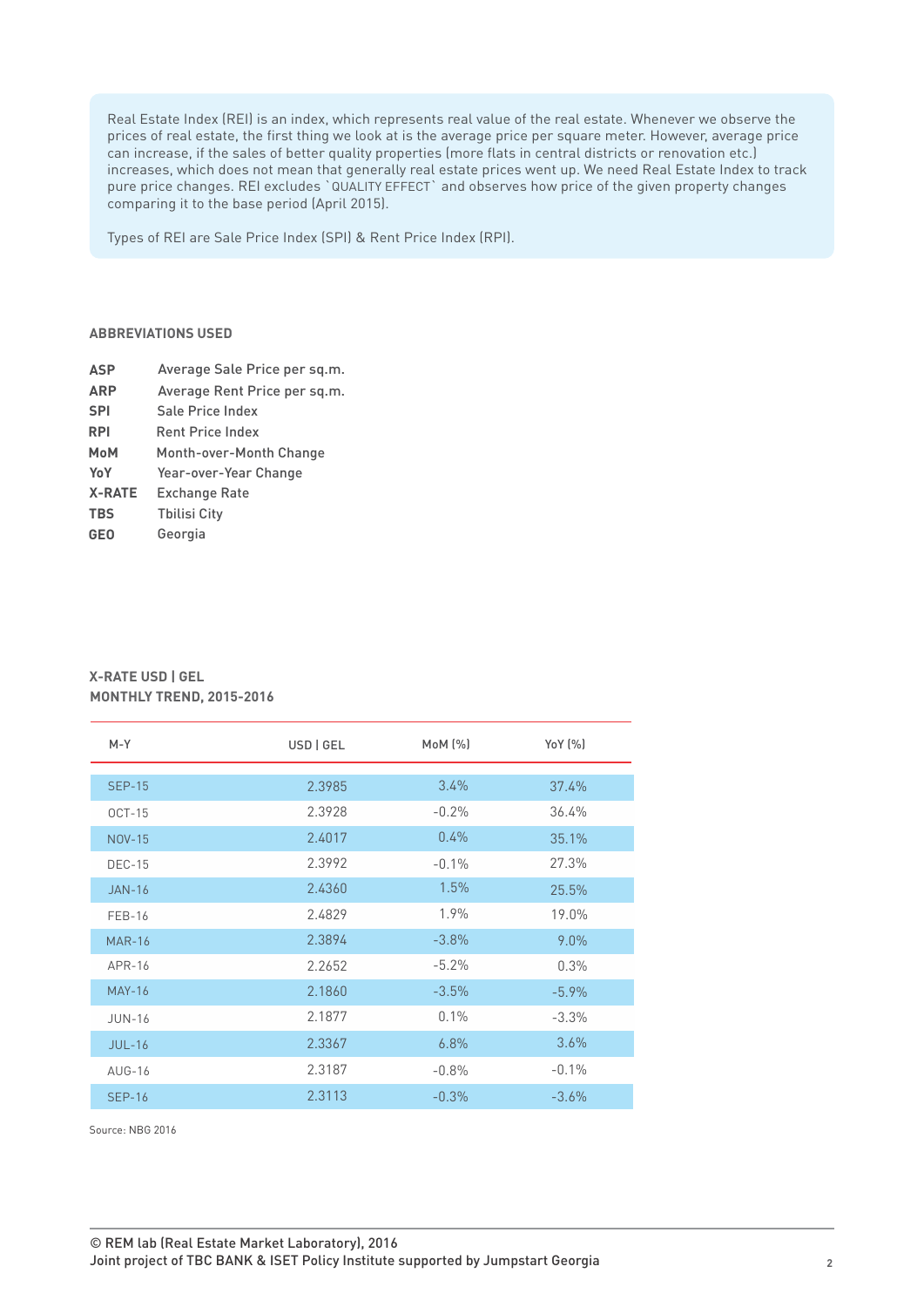Real Estate Index (REI) is an index, which represents real value of the real estate. Whenever we observe the prices of real estate, the first thing we look at is the average price per square meter. However, average price can increase, if the sales of better quality properties (more flats in central districts or renovation etc.) increases, which does not mean that generally real estate prices went up. We need Real Estate Index to track pure price changes. REI excludes `QUALITY EFFECT` and observes how price of the given property changes comparing it to the base period (April 2015).

Types of REI are Sale Price Index (SPI) & Rent Price Index (RPI).

#### **ABBREVIATIONS USED**

- **ASP** Average Sale Price per sq.m.
- **ARP** Average Rent Price per sq.m.
- **SPI**  Sale Price Index
- **RPI**  Rent Price Index
- **MoM**  Month-over-Month Change
- **YoY X-RATE**  Year-over-Year Change
- Exchange Rate
- **TBS** Tbilisi City
- **GEO** Georgia

### **X-RATE USD | GEL MONTHLY TREND, 2015-2016**

| $M-Y$         | USD   GEL | MoM (%)  | Yo $Y(%$ |
|---------------|-----------|----------|----------|
|               |           |          |          |
| <b>SEP-15</b> | 2.3985    | 3.4%     | 37.4%    |
| $OCT-15$      | 2.3928    | $-0.2%$  | 36.4%    |
| <b>NOV-15</b> | 2.4017    | $0.4\%$  | 35.1%    |
| <b>DEC-15</b> | 2.3992    | $-0.1\%$ | 27.3%    |
| <b>JAN-16</b> | 2.4360    | 1.5%     | 25.5%    |
| <b>FEB-16</b> | 2.4829    | 1.9%     | 19.0%    |
| <b>MAR-16</b> | 2.3894    | $-3.8\%$ | 9.0%     |
| $APR-16$      | 2.2652    | $-5.2%$  | 0.3%     |
| <b>MAY-16</b> | 2.1860    | $-3.5%$  | $-5.9\%$ |
| <b>JUN-16</b> | 2.1877    | 0.1%     | $-3.3%$  |
| $JUL-16$      | 2.3367    | 6.8%     | 3.6%     |
| $AUG-16$      | 2.3187    | $-0.8%$  | $-0.1%$  |
| <b>SEP-16</b> | 2.3113    | $-0.3%$  | $-3.6%$  |

Source: NBG 2016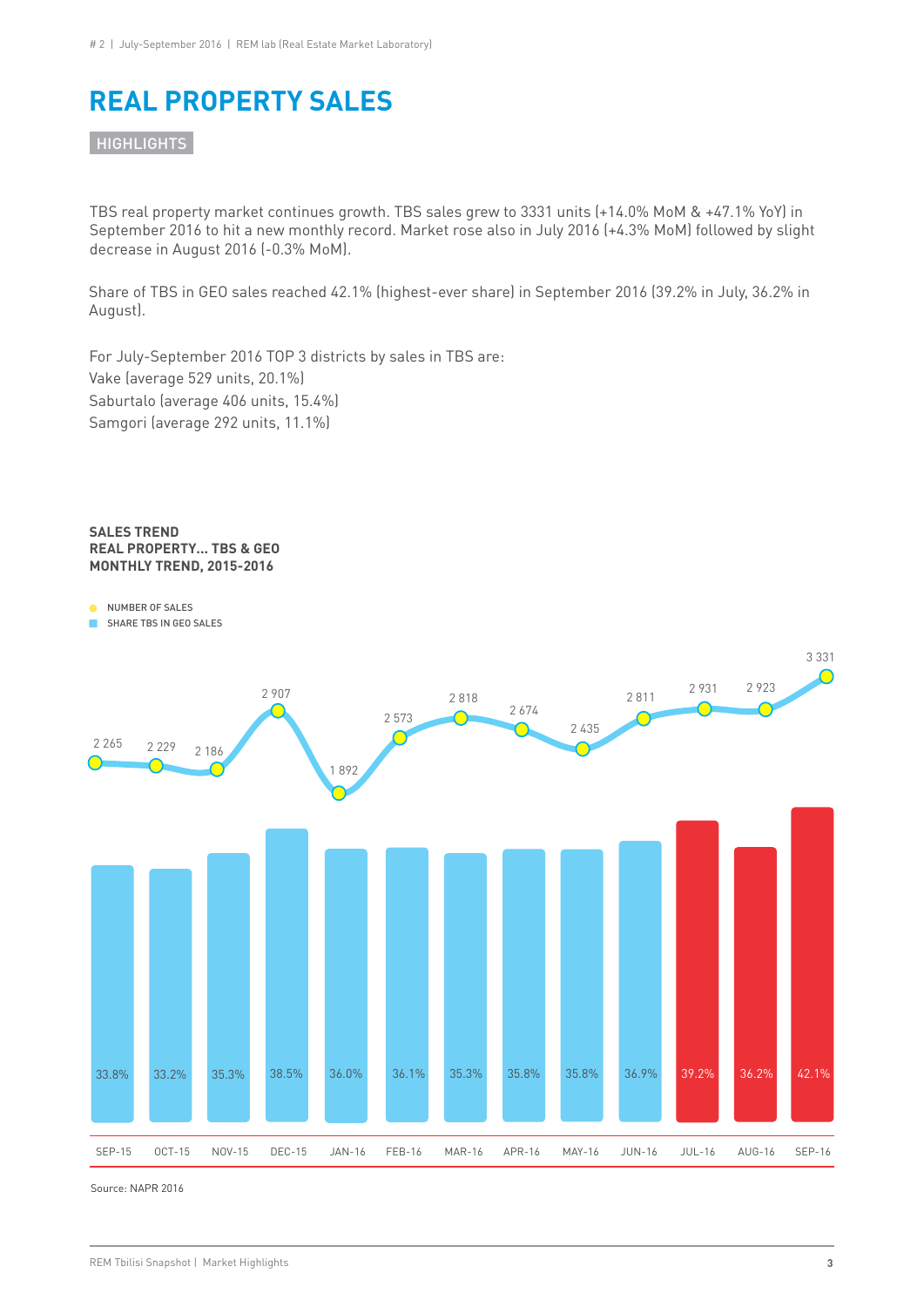### **REAL PROPERTY SALES**

**HIGHLIGHTS** 

TBS real property market continues growth. TBS sales grew to 3331 units (+14.0% MoM & +47.1% YoY) in September 2016 to hit a new monthly record. Market rose also in July 2016 (+4.3% MoM) followed by slight decrease in August 2016 (-0.3% MoM).

Share of TBS in GEO sales reached 42.1% (highest-ever share) in September 2016 (39.2% in July, 36.2% in August).

For July-September 2016 TOP 3 districts by sales in TBS are: Vake (average 529 units, 20.1%) Saburtalo (average 406 units, 15.4%) Samgori (average 292 units, 11.1%)

#### **SALES TREND REAL PROPERTY... TBS & GEO MONTHLY TREND, 2015-2016**

NUMBER OF SALES

SHARE TBS IN GEO SALES



Source: NAPR 2016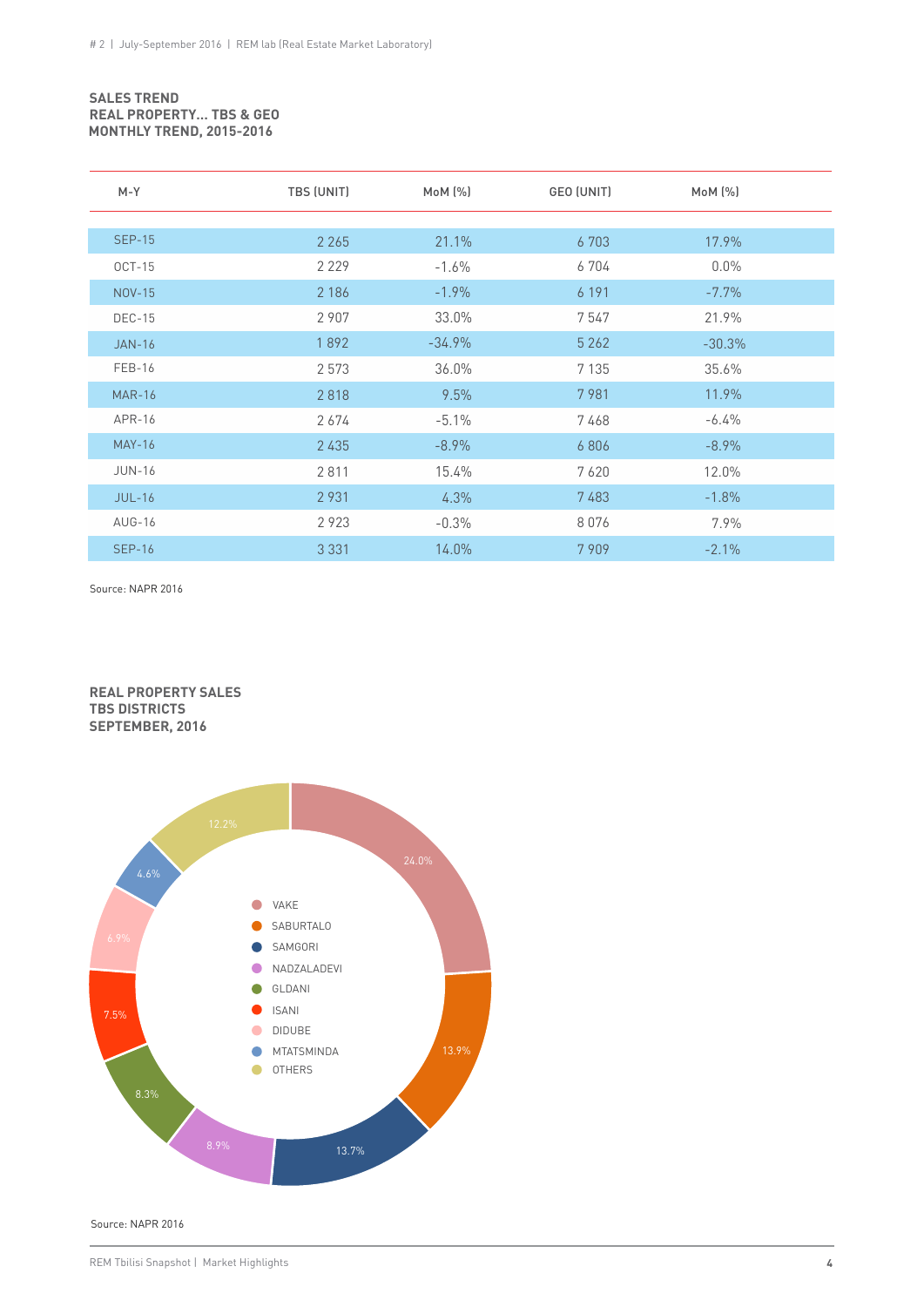#### **SALES TREND REAL PROPERTY… TBS & GEO MONTHLY TREND, 2015-2016**

| $M-Y$         | TBS (UNIT) | MoM (%)   | GEO (UNIT) | $M \circ M$ $(\%)$ |  |
|---------------|------------|-----------|------------|--------------------|--|
|               |            |           |            |                    |  |
| <b>SEP-15</b> | 2 2 6 5    | 21.1%     | 6 703      | 17.9%              |  |
| $OCT-15$      | 2 2 2 9    | $-1.6%$   | 6704       | $0.0\%$            |  |
| NOV-15        | 2 1 8 6    | $-1.9%$   | 6 191      | $-7.7%$            |  |
| <b>DEC-15</b> | 2 9 0 7    | 33.0%     | 7547       | 21.9%              |  |
| <b>JAN-16</b> | 1892       | $-34.9\%$ | 5 2 6 2    | $-30.3%$           |  |
| $FEB-16$      | 2 5 7 3    | 36.0%     | 7 1 3 5    | 35.6%              |  |
| <b>MAR-16</b> | 2818       | 9.5%      | 7981       | 11.9%              |  |
| APR-16        | 2674       | $-5.1\%$  | 7468       | $-6.4\%$           |  |
| <b>MAY-16</b> | 2435       | $-8.9\%$  | 6806       | $-8.9%$            |  |
| <b>JUN-16</b> | 2811       | 15.4%     | 7620       | 12.0%              |  |
| $JUL-16$      | 2931       | 4.3%      | 7483       | $-1.8%$            |  |
| AUG-16        | 2923       | $-0.3%$   | 8076       | 7.9%               |  |
| <b>SEP-16</b> | 3 3 3 1    | 14.0%     | 7909       | $-2.1%$            |  |

Source: NAPR 2016

#### **REAL PROPERTY SALES TBS DISTRICTS SEPTEMBER, 2016**



Source: NAPR 2016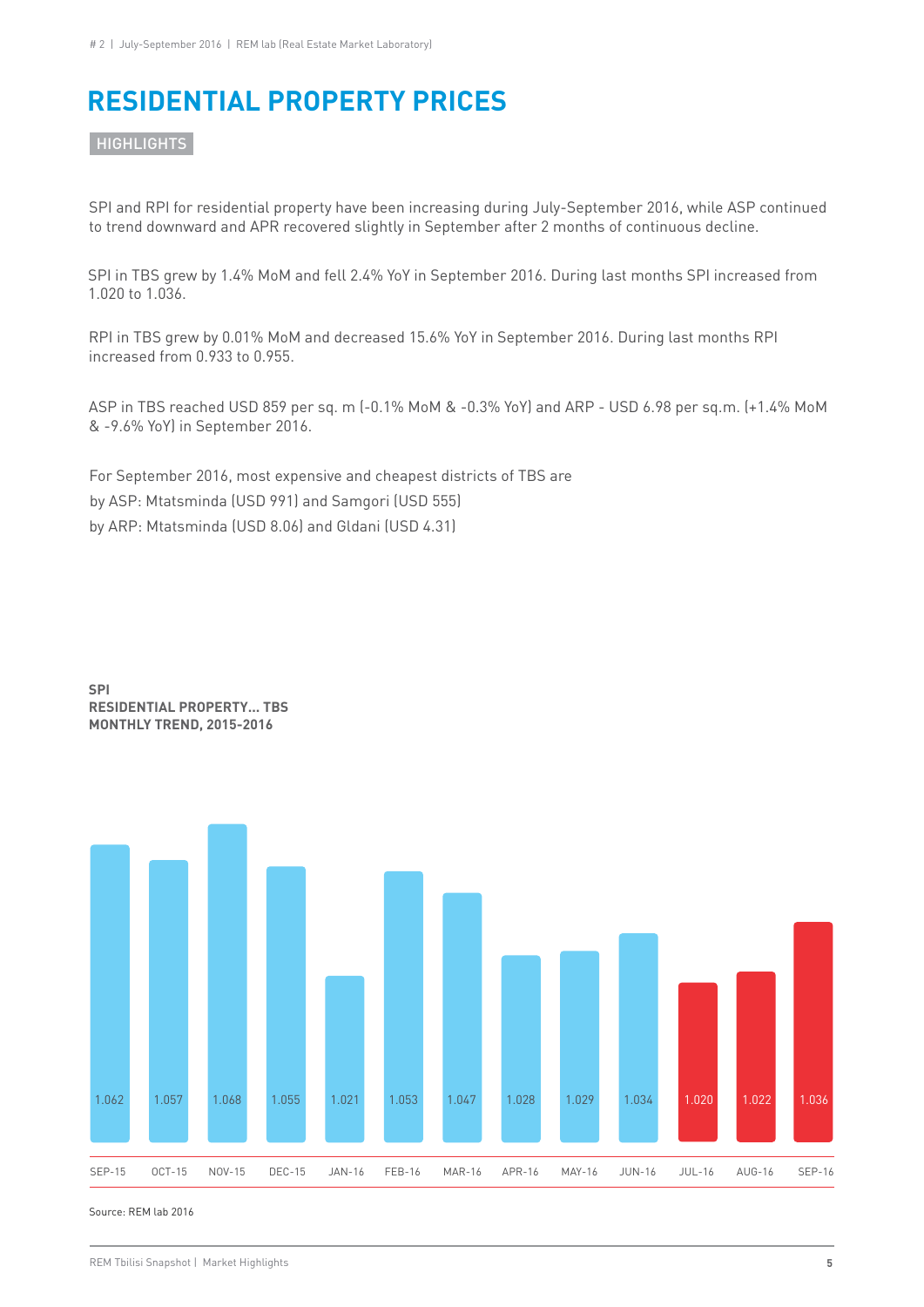# **RESIDENTIAL PROPERTY PRICES**

**HIGHLIGHTS** 

SPI and RPI for residential property have been increasing during July-September 2016, while ASP continued to trend downward and APR recovered slightly in September after 2 months of continuous decline.

SPI in TBS grew by 1.4% MoM and fell 2.4% YoY in September 2016. During last months SPI increased from 1.020 to 1.036.

RPI in TBS grew by 0.01% MoM and decreased 15.6% YoY in September 2016. During last months RPI increased from 0.933 to 0.955.

ASP in TBS reached USD 859 per sq. m (-0.1% MoM & -0.3% YoY) and ARP - USD 6.98 per sq.m. (+1.4% MoM & -9.6% YoY) in September 2016.

For September 2016, most expensive and cheapest districts of TBS are by ASP: Mtatsminda (USD 991) and Samgori (USD 555) by ARP: Mtatsminda (USD 8.06) and Gldani (USD 4.31)



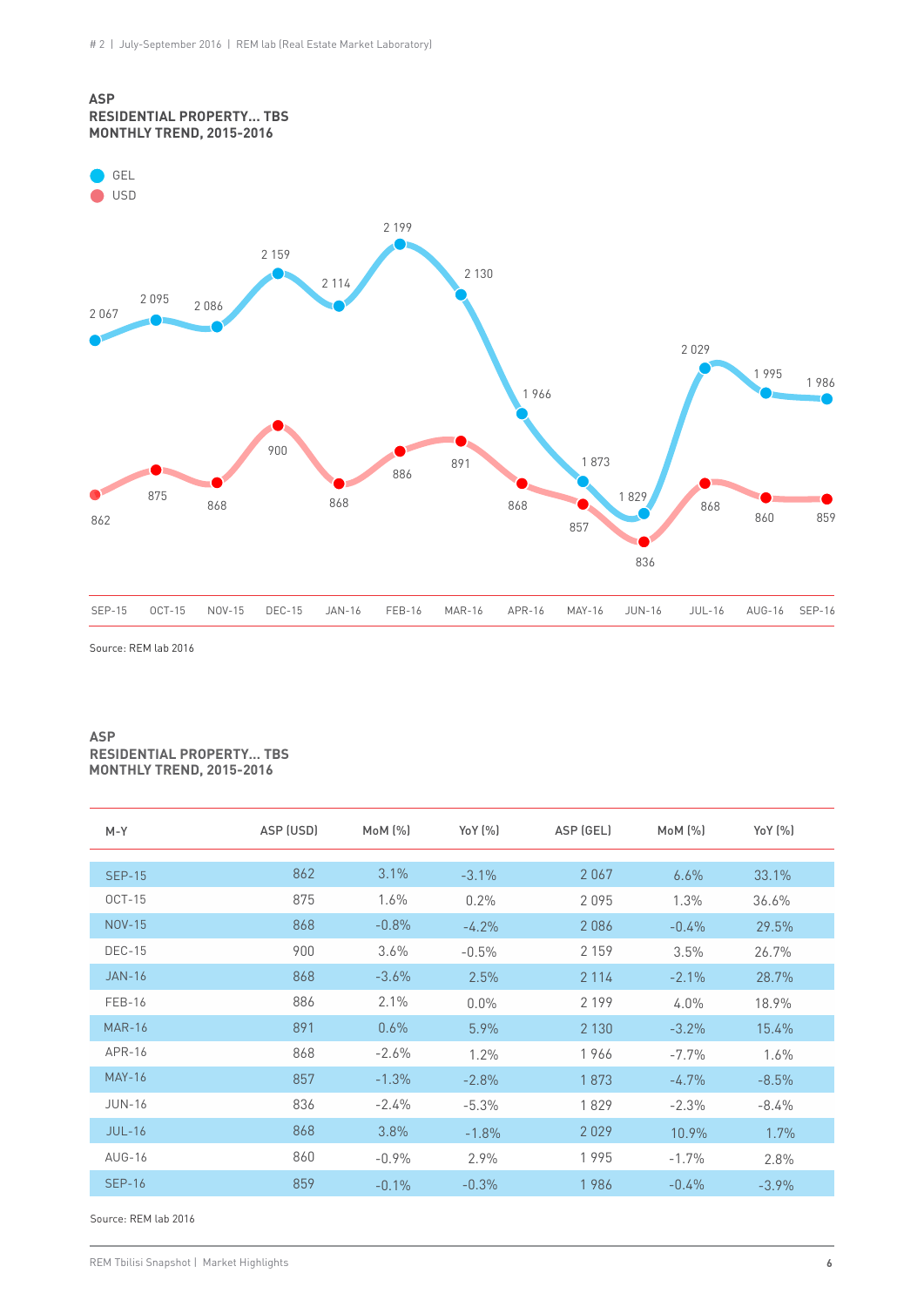

Source: REM lab 2016

#### **ASP RESIDENTIAL PROPERTY… TBS MONTHLY TREND, 2015-2016**

| $M - Y$       | ASP (USD) | MoM (%)  | YoY (%)  | ASP (GEL) | $M_0M$ $(\%)$ | Yo Y (%) |
|---------------|-----------|----------|----------|-----------|---------------|----------|
|               | 862       | 3.1%     |          |           |               |          |
| <b>SEP-15</b> |           |          | $-3.1\%$ | 2067      | 6.6%          | 33.1%    |
| <b>OCT-15</b> | 875       | 1.6%     | 0.2%     | 2095      | 1.3%          | 36.6%    |
| <b>NOV-15</b> | 868       | $-0.8\%$ | $-4.2%$  | 2086      | $-0.4%$       | 29.5%    |
| <b>DEC-15</b> | 900       | 3.6%     | $-0.5%$  | 2 1 5 9   | 3.5%          | 26.7%    |
| <b>JAN-16</b> | 868       | $-3.6%$  | 2.5%     | 2 1 1 4   | $-2.1%$       | 28.7%    |
| <b>FEB-16</b> | 886       | 2.1%     | $0.0\%$  | 2 1 9 9   | $4.0\%$       | 18.9%    |
| <b>MAR-16</b> | 891       | 0.6%     | 5.9%     | 2 1 3 0   | $-3.2%$       | 15.4%    |
| APR-16        | 868       | $-2.6\%$ | 1.2%     | 1966      | $-7.7%$       | 1.6%     |
| <b>MAY-16</b> | 857       | $-1.3%$  | $-2.8%$  | 1873      | $-4.7%$       | $-8.5%$  |
| <b>JUN-16</b> | 836       | $-2.4%$  | $-5.3%$  | 1829      | $-2.3%$       | $-8.4\%$ |
| $JUL-16$      | 868       | 3.8%     | $-1.8%$  | 2029      | 10.9%         | 1.7%     |
| AUG-16        | 860       | $-0.9%$  | 2.9%     | 1995      | $-1.7%$       | 2.8%     |
| <b>SEP-16</b> | 859       | $-0.1\%$ | $-0.3%$  | 1986      | $-0.4%$       | $-3.9%$  |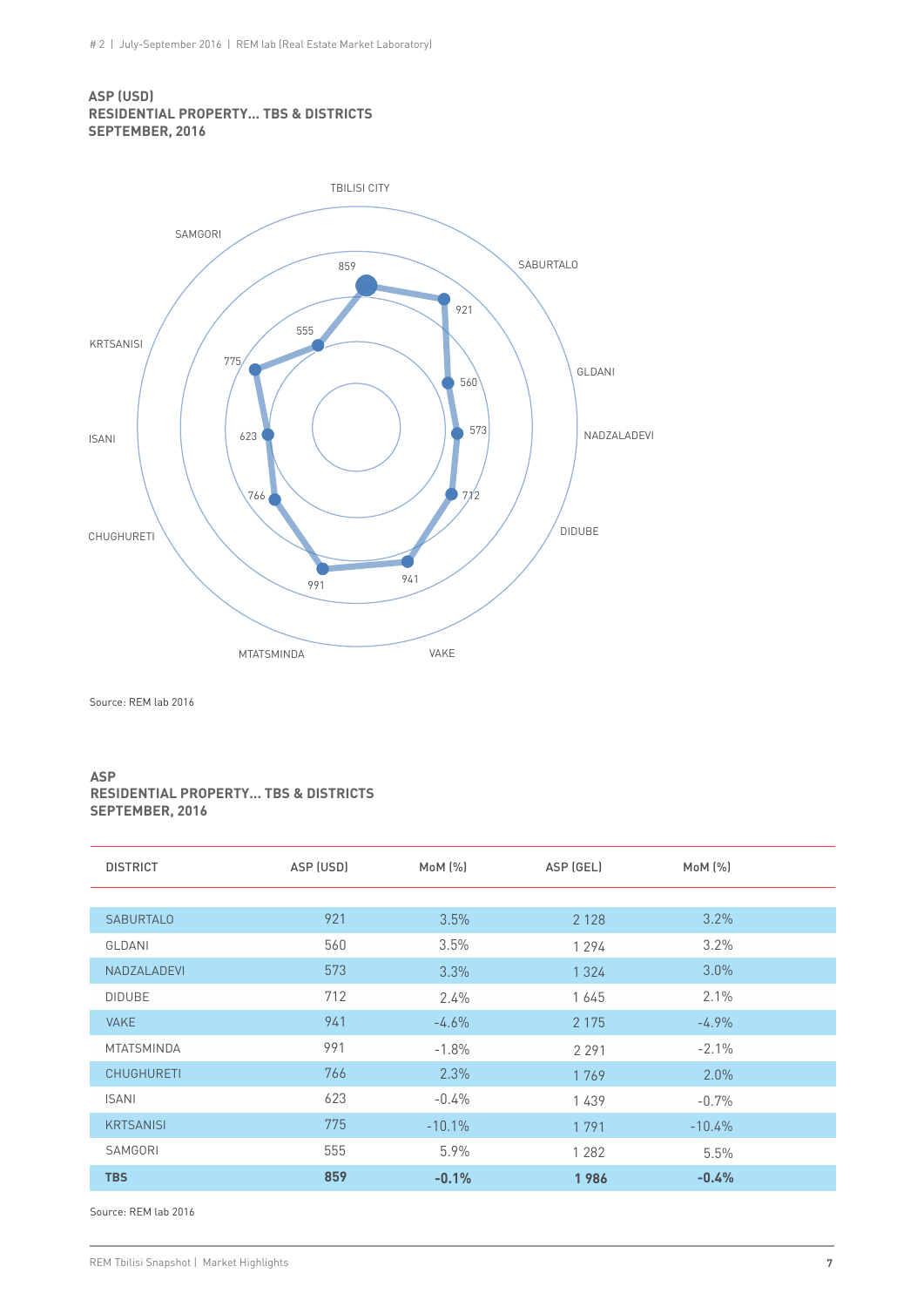#### **ASP (USD) RESIDENTIAL PROPERTY... TBS & DISTRICTS SEPTEMBER, 2016**



Source: REM lab 2016

#### **ASP RESIDENTIAL PROPERTY... TBS & DISTRICTS SEPTEMBER, 2016**

| <b>DISTRICT</b>   | ASP (USD) | $M \circ M$ $(\%)$ | ASP (GEL) | MoM (%)  |  |
|-------------------|-----------|--------------------|-----------|----------|--|
|                   |           |                    |           |          |  |
| <b>SABURTALO</b>  | 921       | 3.5%               | 2 1 2 8   | 3.2%     |  |
| GLDANI            | 560       | 3.5%               | 1 2 9 4   | $3.2\%$  |  |
| NADZALADEVI       | 573       | $3.3\%$            | 1 3 2 4   | $3.0\%$  |  |
| <b>DIDUBE</b>     | 712       | 2.4%               | 1645      | 2.1%     |  |
| <b>VAKE</b>       | 941       | $-4.6%$            | 2 1 7 5   | $-4.9%$  |  |
| <b>MTATSMINDA</b> | 991       | $-1.8%$            | 2 2 9 1   | $-2.1%$  |  |
| <b>CHUGHURETI</b> | 766       | $2.3\%$            | 1769      | $2.0\%$  |  |
| <b>ISANI</b>      | 623       | $-0.4%$            | 1439      | $-0.7%$  |  |
| <b>KRTSANISI</b>  | 775       | $-10.1\%$          | 1791      | $-10.4%$ |  |
| SAMGORI           | 555       | 5.9%               | 1 2 8 2   | 5.5%     |  |
| <b>TBS</b>        | 859       | $-0.1%$            | 1986      | $-0.4%$  |  |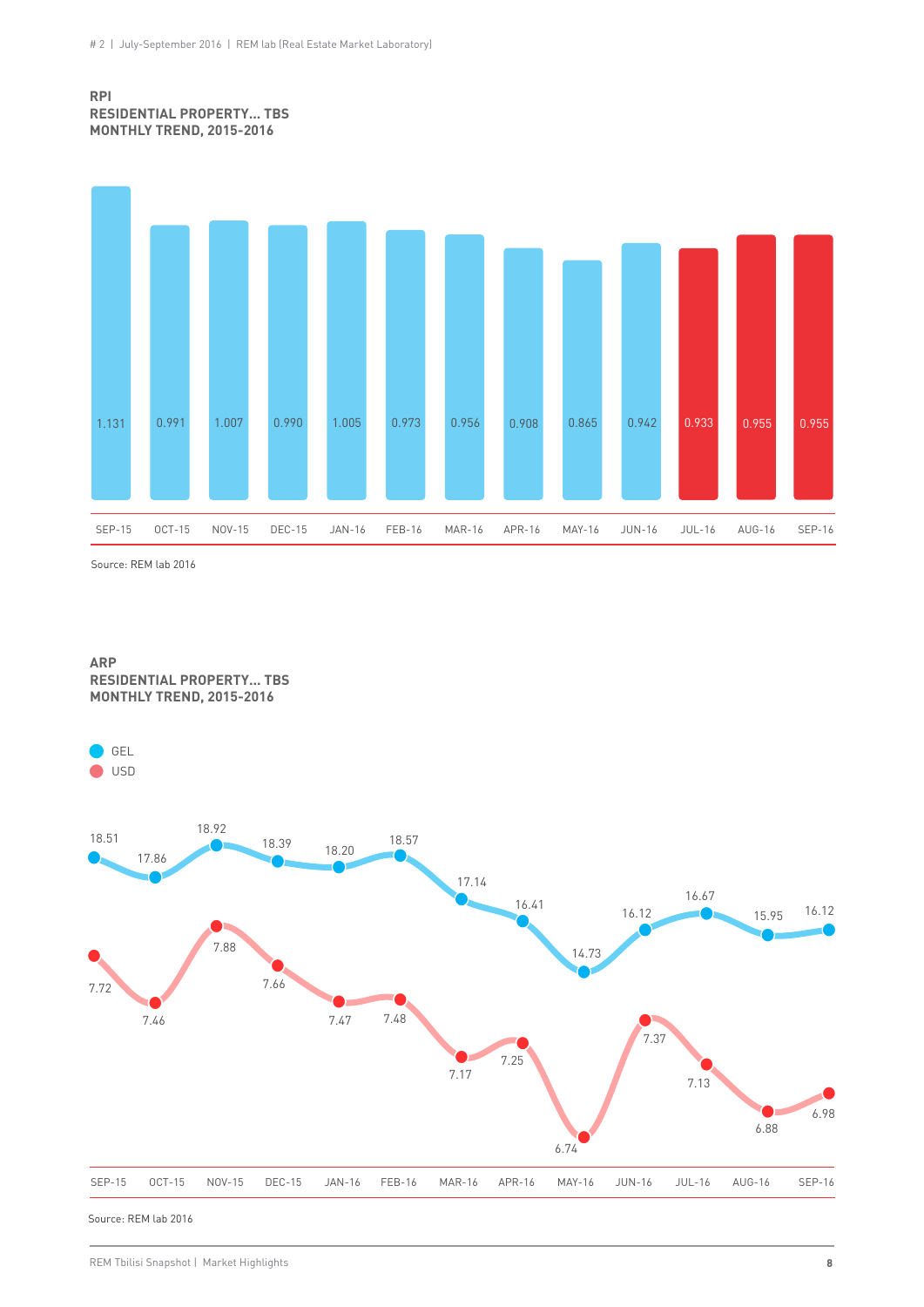#### **RPI RESIDENTIAL PROPERTY... TBS MONTHLY TREND, 2015-2016**



Source: REM lab 2016



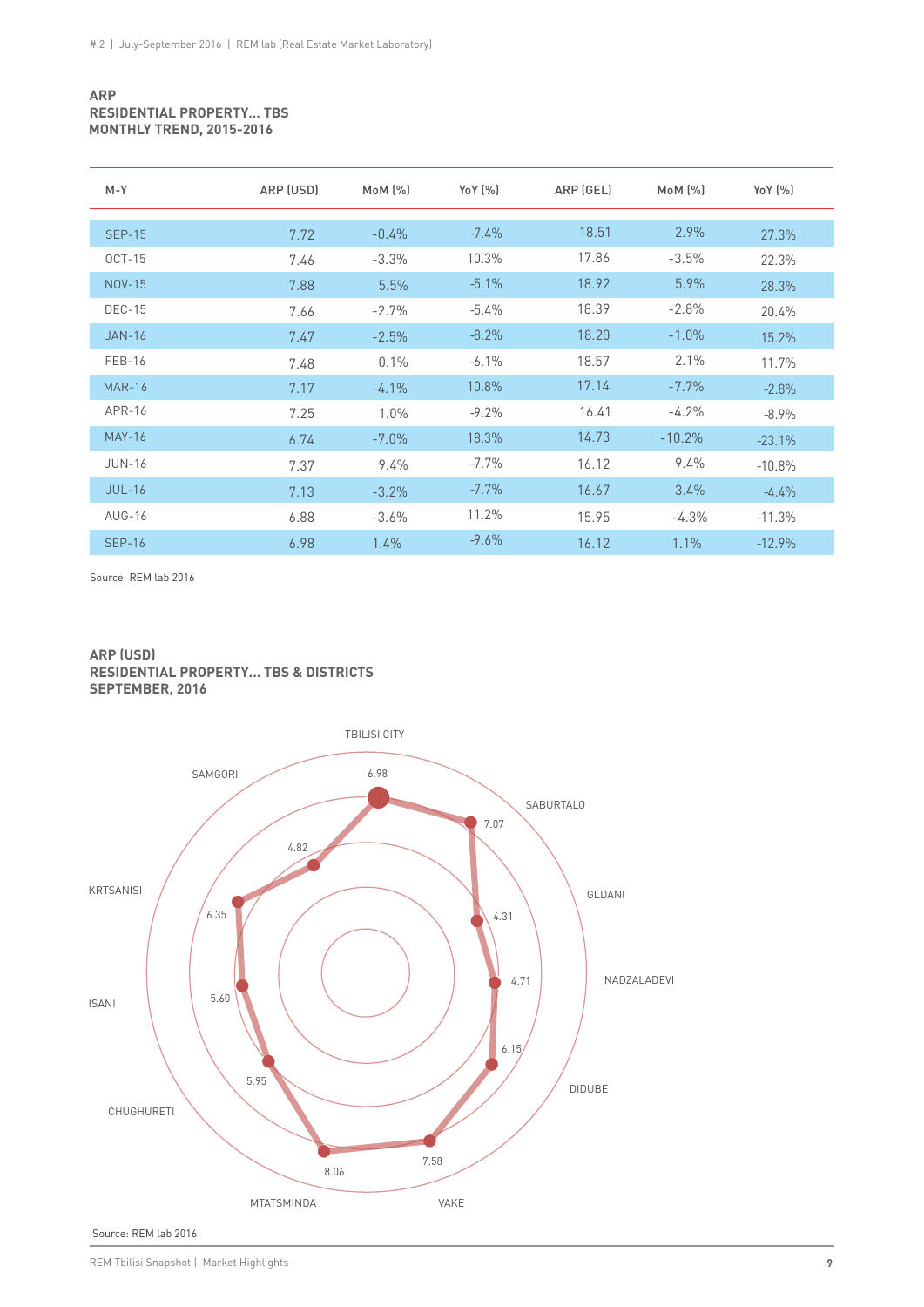#### **ARP RESIDENTIAL PROPERTY… TBS MONTHLY TREND, 2015-2016**

| $M-Y$         | ARP (USD) | MoM (%)  | Yo Y (%) | ARP (GEL) | $M_0M$ $(\%)$ | YoY (%)  |
|---------------|-----------|----------|----------|-----------|---------------|----------|
|               |           |          |          |           |               |          |
| <b>SEP-15</b> | 7.72      | $-0.4%$  | $-7.4\%$ | 18.51     | $2.9\%$       | 27.3%    |
| $OCT-15$      | 7.46      | $-3.3%$  | 10.3%    | 17.86     | $-3.5%$       | 22.3%    |
| <b>NOV-15</b> | 7.88      | 5.5%     | $-5.1\%$ | 18.92     | 5.9%          | 28.3%    |
| <b>DEC-15</b> | 7.66      | $-2.7%$  | $-5.4\%$ | 18.39     | $-2.8%$       | 20.4%    |
| <b>JAN-16</b> | 7.47      | $-2.5%$  | $-8.2\%$ | 18.20     | $-1.0%$       | 15.2%    |
| FEB-16        | 7.48      | 0.1%     | $-6.1\%$ | 18.57     | 2.1%          | 11.7%    |
| <b>MAR-16</b> | 7.17      | $-4.1%$  | 10.8%    | 17.14     | $-7.7\%$      | $-2.8%$  |
| APR-16        | 7.25      | 1.0%     | $-9.2\%$ | 16.41     | $-4.2%$       | $-8.9\%$ |
| <b>MAY-16</b> | 6.74      | $-7.0\%$ | 18.3%    | 14.73     | $-10.2%$      | $-23.1%$ |
| <b>JUN-16</b> | 7.37      | 9.4%     | $-7.7\%$ | 16.12     | 9.4%          | $-10.8%$ |
| $JUL-16$      | 7.13      | $-3.2%$  | $-7.7\%$ | 16.67     | 3.4%          | $-4.4\%$ |
| AUG-16        | 6.88      | $-3.6\%$ | 11.2%    | 15.95     | $-4.3%$       | $-11.3%$ |
| <b>SEP-16</b> | 6.98      | 1.4%     | $-9.6\%$ | 16.12     | 1.1%          | $-12.9%$ |

Source: REM lab 2016

#### **ARP (USD) RESIDENTIAL PROPERTY... TBS & DISTRICTS SEPTEMBER, 2016**



Source: REM lab 2016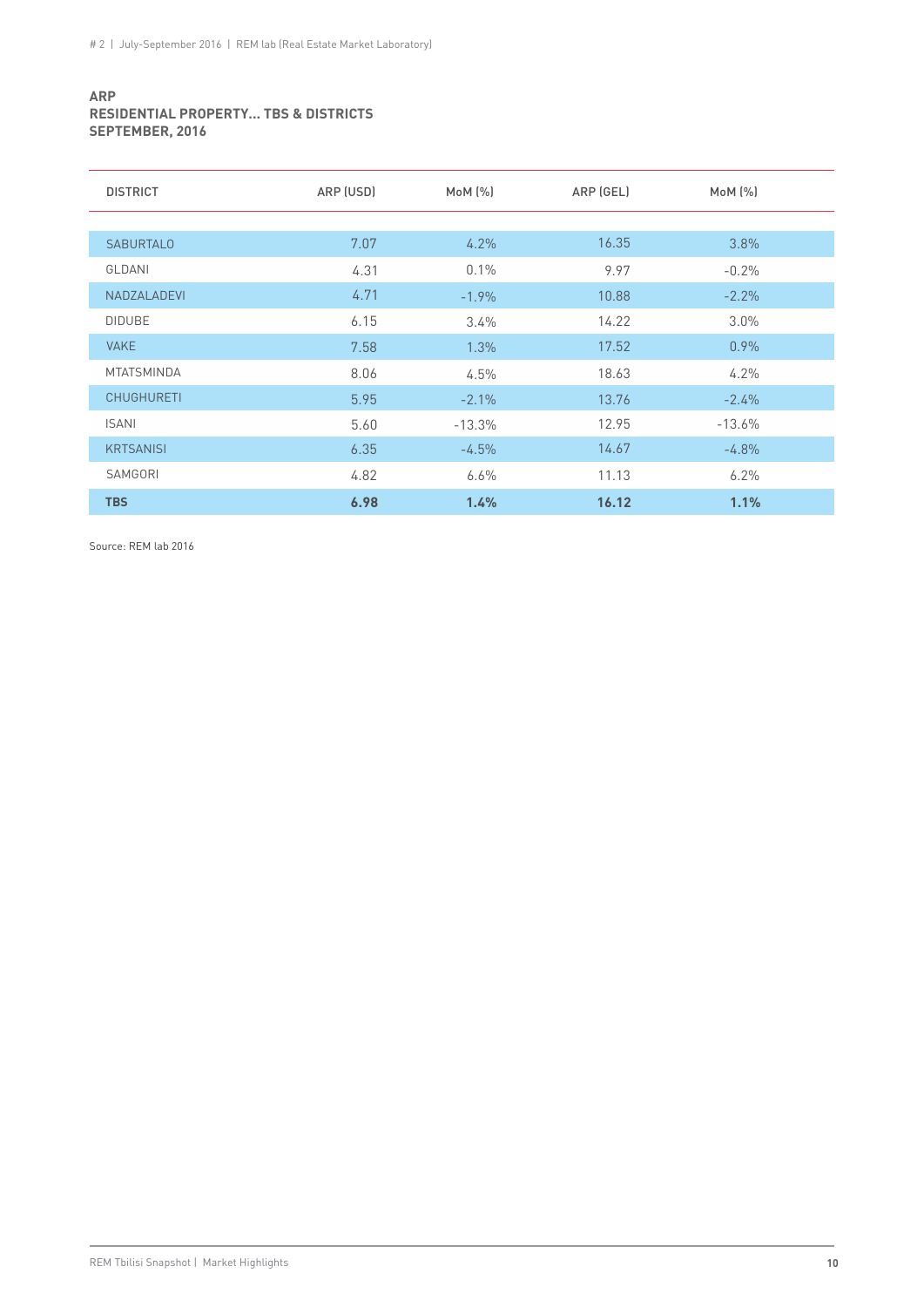#### **ARP RESIDENTIAL PROPERTY... TBS & DISTRICTS SEPTEMBER, 2016**

| <b>DISTRICT</b>   | ARP (USD) | MOM (%)  | ARP (GEL) | $M \circ M$ $(\%)$ |
|-------------------|-----------|----------|-----------|--------------------|
|                   |           |          |           |                    |
| <b>SABURTALO</b>  | 7.07      | 4.2%     | 16.35     | 3.8%               |
| GLDANI            | 4.31      | 0.1%     | 9.97      | $-0.2%$            |
| NADZALADEVI       | 4.71      | $-1.9%$  | 10.88     | $-2.2%$            |
| <b>DIDUBE</b>     | 6.15      | 3.4%     | 14.22     | $3.0\%$            |
| <b>VAKE</b>       | 7.58      | 1.3%     | 17.52     | 0.9%               |
| <b>MTATSMINDA</b> | 8.06      | 4.5%     | 18.63     | 4.2%               |
| <b>CHUGHURETI</b> | 5.95      | $-2.1%$  | 13.76     | $-2.4%$            |
| <b>ISANI</b>      | 5.60      | $-13.3%$ | 12.95     | $-13.6%$           |
| <b>KRTSANISI</b>  | 6.35      | $-4.5%$  | 14.67     | $-4.8\%$           |
| SAMGORI           | 4.82      | 6.6%     | 11.13     | 6.2%               |
| <b>TBS</b>        | 6.98      | 1.4%     | 16.12     | 1.1%               |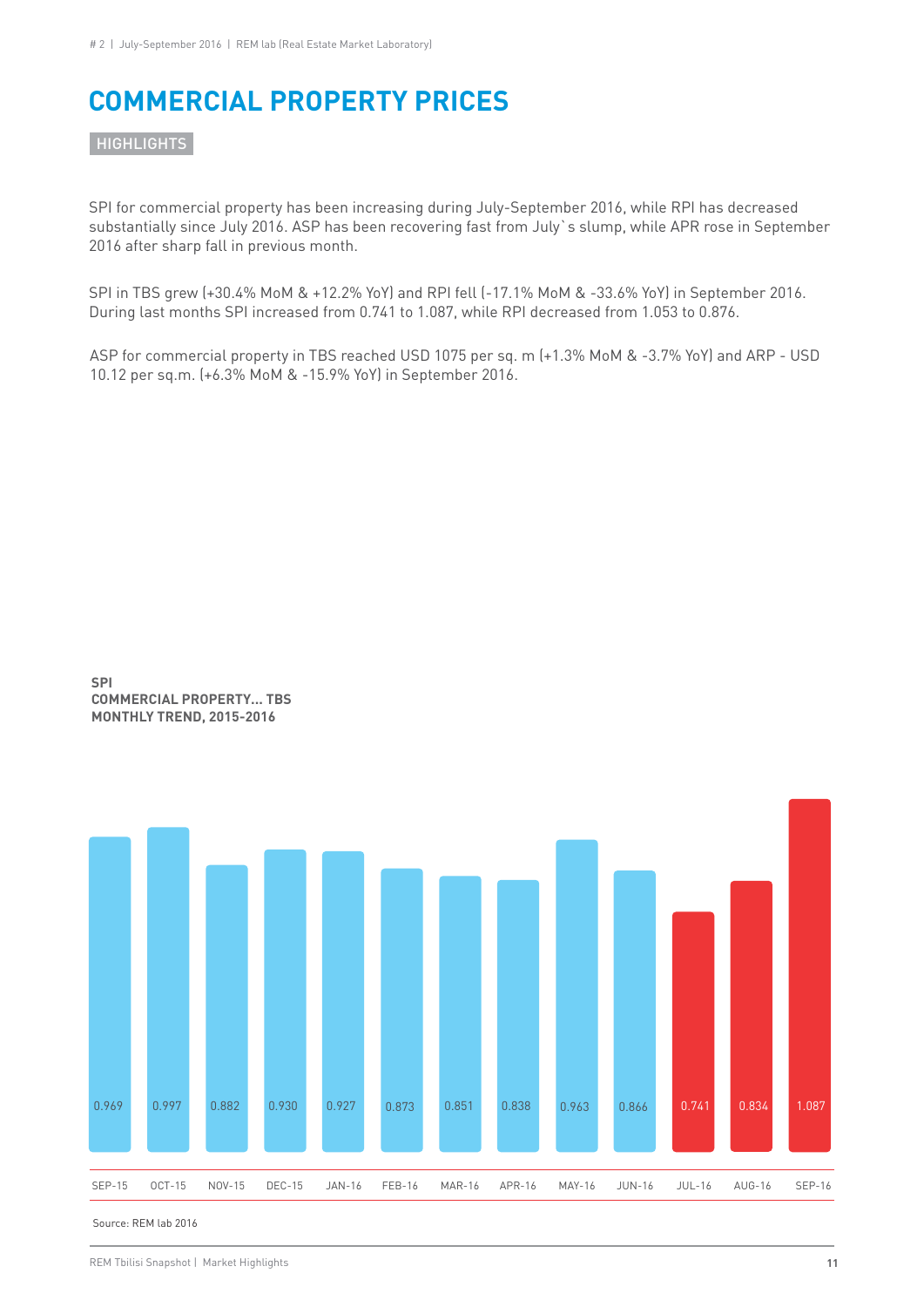# **COMMERCIAL PROPERTY PRICES**

**HIGHLIGHTS** 

SPI for commercial property has been increasing during July-September 2016, while RPI has decreased substantially since July 2016. ASP has been recovering fast from July`s slump, while APR rose in September 2016 after sharp fall in previous month.

SPI in TBS grew (+30.4% MoM & +12.2% YoY) and RPI fell (-17.1% MoM & -33.6% YoY) in September 2016. During last months SPI increased from 0.741 to 1.087, while RPI decreased from 1.053 to 0.876.

ASP for commercial property in TBS reached USD 1075 per sq. m (+1.3% MoM & -3.7% YoY) and ARP - USD 10.12 per sq.m. (+6.3% MoM & -15.9% YoY) in September 2016.



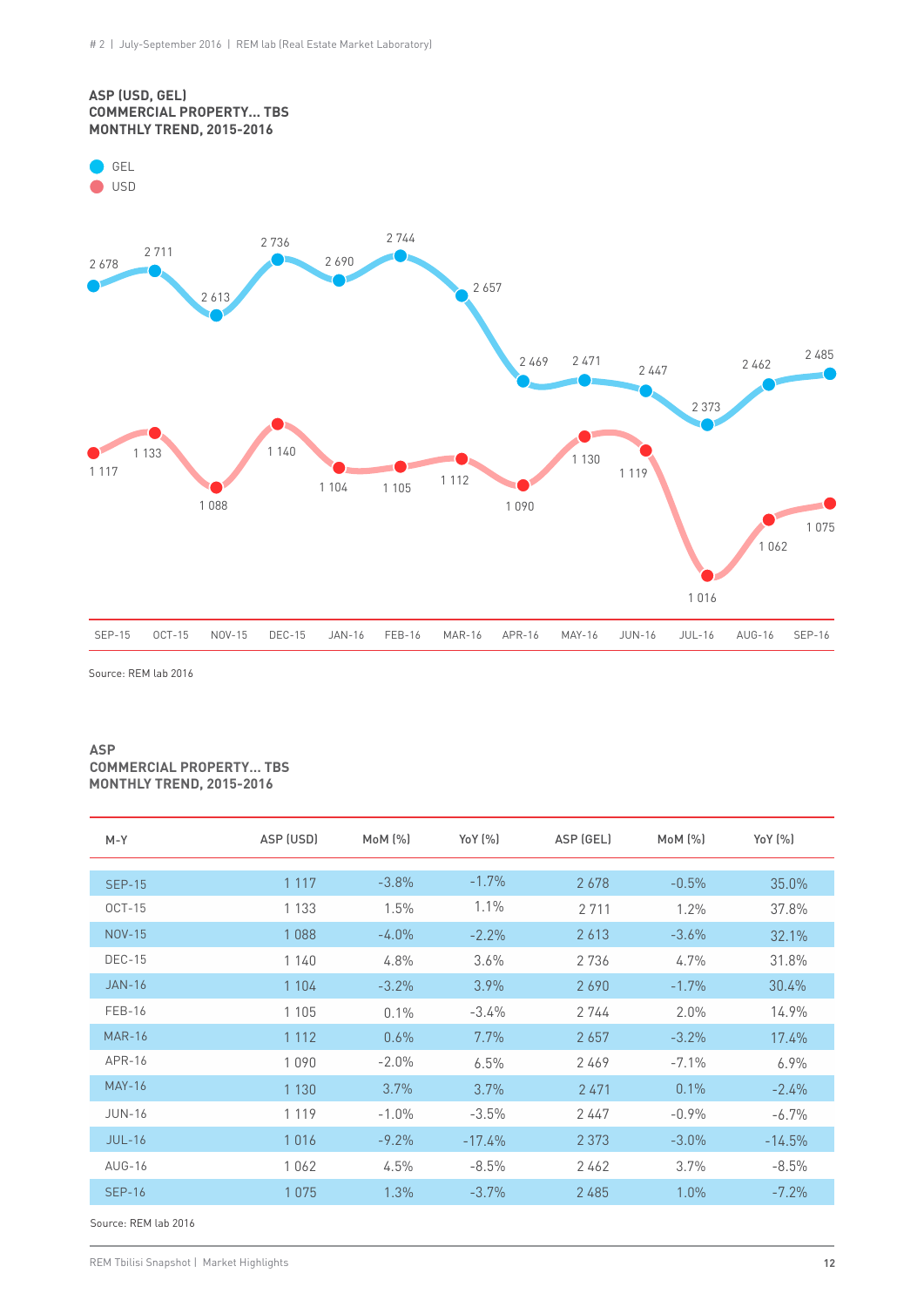

Source: REM lab 2016

#### **ASP COMMERCIAL PROPERTY… TBS MONTHLY TREND, 2015-2016**

| $M - Y$       | ASP (USD) | $M_0M$ $[\%]$ | YoY [%]  | ASP (GEL) | $M0M$ $[\%]$ | Yo Y (%) |
|---------------|-----------|---------------|----------|-----------|--------------|----------|
| <b>SEP-15</b> | 1 1 1 7   | $-3.8%$       | $-1.7%$  | 2678      | $-0.5%$      | 35.0%    |
| $OCT-15$      | 1 1 3 3   | 1.5%          | $1.1\%$  | 2 7 1 1   | 1.2%         | 37.8%    |
| <b>NOV-15</b> | 1088      | $-4.0%$       | $-2.2\%$ | 2613      | $-3.6%$      | 32.1%    |
| <b>DEC-15</b> | 1140      | 4.8%          | 3.6%     | 2736      | 4.7%         | 31.8%    |
| $JAN-16$      | 1 1 0 4   | $-3.2%$       | $3.9\%$  | 2690      | $-1.7%$      | 30.4%    |
| <b>FEB-16</b> | 1 1 0 5   | $0.1\%$       | $-3.4\%$ | 2744      | 2.0%         | 14.9%    |
| <b>MAR-16</b> | 1 1 1 2   | 0.6%          | 7.7%     | 2657      | $-3.2%$      | 17.4%    |
| APR-16        | 1090      | $-2.0%$       | 6.5%     | 2469      | $-7.1%$      | 6.9%     |
| <b>MAY-16</b> | 1 1 3 0   | 3.7%          | 3.7%     | 2471      | 0.1%         | $-2.4%$  |
| <b>JUN-16</b> | 1 1 1 9   | $-1.0%$       | $-3.5%$  | 2447      | $-0.9%$      | $-6.7%$  |
| $JUL-16$      | 1016      | $-9.2%$       | $-17.4%$ | 2 3 7 3   | $-3.0%$      | $-14.5%$ |
| AUG-16        | 1062      | 4.5%          | $-8.5%$  | 2462      | 3.7%         | $-8.5%$  |
| <b>SEP-16</b> | 1075      | 1.3%          | $-3.7\%$ | 2 4 8 5   | 1.0%         | $-7.2%$  |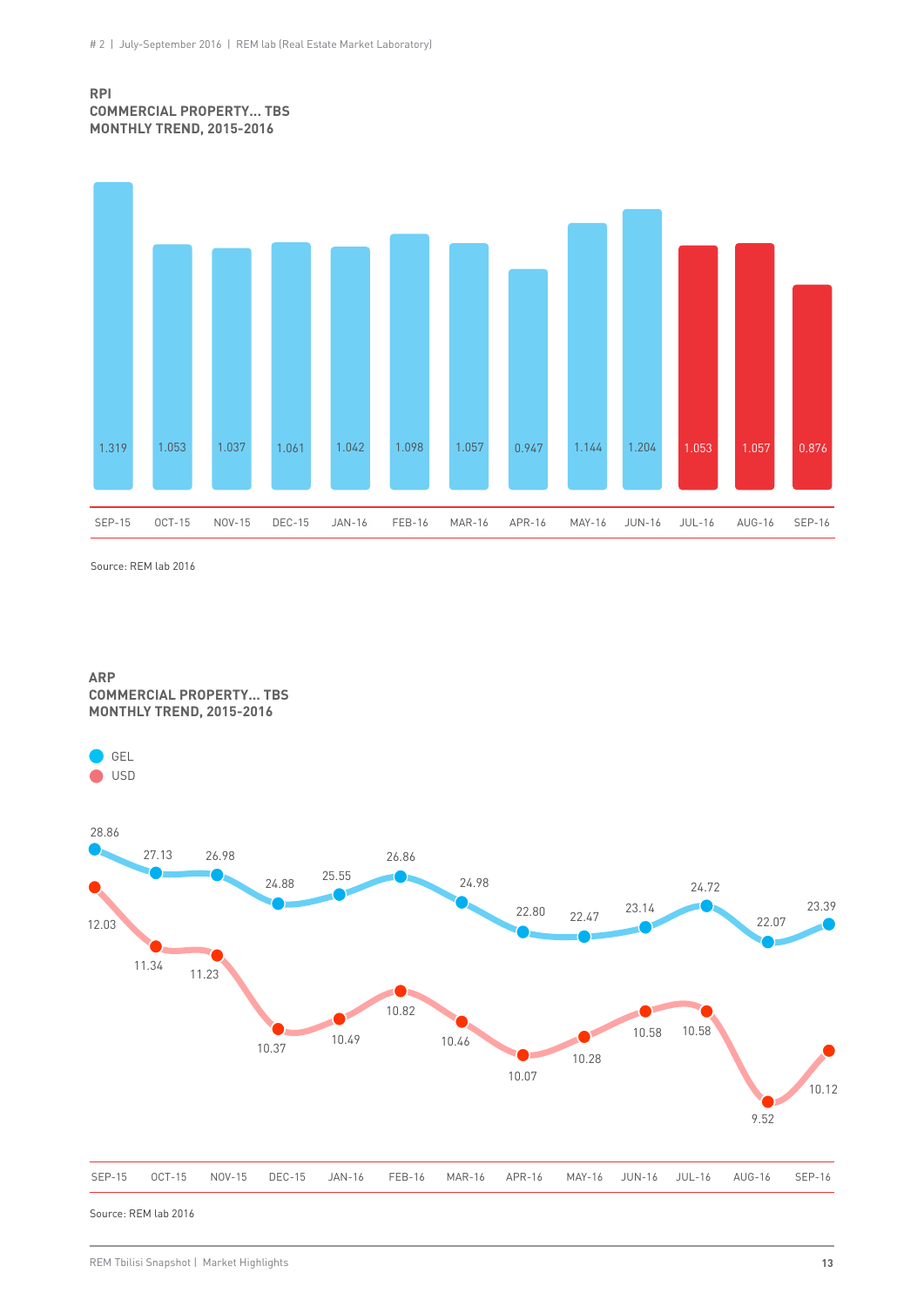#### **RPI COMMERCIAL PROPERTY... TBS MONTHLY TREND, 2015-2016**



Source: REM lab 2016

GEL ● USD

**ARP COMMERCIAL PROPERTY... TBS MONTHLY TREND, 2015-2016**